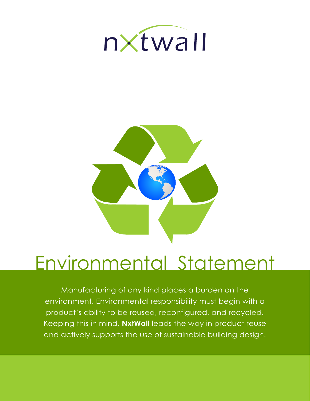



# Environmental Statement

Manufacturing of any kind places a burden on the environment. Environmental responsibility must begin with a product's ability to be reused, reconfigured, and recycled. Keeping this in mind, **NxtWall** leads the way in product reuse and actively supports the use of sustainable building design.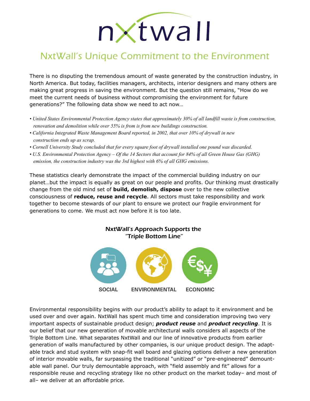# nxtwall

## NxtWall's Unique Commitment to the Environment

There is no disputing the tremendous amount of waste generated by the construction industry, in North America. But today, facilities managers, architects, interior designers and many others are making great progress in saving the environment. But the question still remains, "How do we meet the current needs of business without compromising the environment for future generations?" The following data show we need to act now…

- *United States Environmental Protection Agency states that approximately 30% of all landfill waste is from construction, renovation and demolition while over 55% is from is from new buildings construction.*
- *California Integrated Waste Management Board reported, in 2002, that over 10% of drywall in new construction ends up as scrap.*
- *Cornell University Study concluded that for every square foot of drywall installed one pound was discarded.*
- *U.S. Environmental Protection Agency Of the 14 Sectors that account for 84% of all Green House Gas (GHG) emission, the construction industry was the 3rd highest with 6% of all GHG emissions.*

These statistics clearly demonstrate the impact of the commercial building industry on our planet…but the impact is equally as great on our people and profits. Our thinking must drastically change from the old mind set of **build, demolish, dispose** over to the new collective consciousness of **reduce, reuse and recycle**. All sectors must take responsibility and work together to become stewards of our plant to ensure we protect our fragile environment for generations to come. We must act now before it is too late.

#### NxtWall's Approach Supports the "Triple Bottom Line"



Environmental responsibility begins with our product's ability to adapt to it environment and be used over and over again. NxtWall has spent much time and consideration improving two very important aspects of sustainable product design; *product reuse* and *product recycling*. It is our belief that our new generation of movable architectural walls considers all aspects of the Triple Bottom Line. What separates NxtWall and our line of innovative products from earlier generation of walls manufactured by other companies, is our unique product design. The adaptable track and stud system with snap-fit wall board and glazing options deliver a new generation of interior movable walls, far surpassing the traditional "unitized" or "pre-engineered" demountable wall panel. Our truly demountable approach, with "field assembly and fit" allows for a responsible reuse and recycling strategy like no other product on the market today– and most of all– we deliver at an affordable price.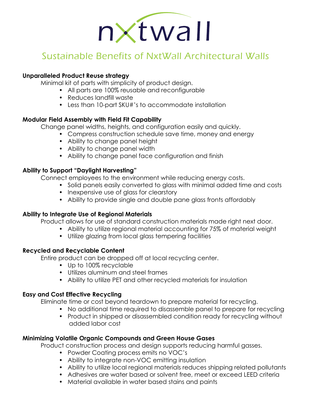

### Sustainable Benefits of NxtWall Architectural Walls

#### **Unparalleled Product Reuse strategy**

Minimal kit of parts with simplicity of product design.

- All parts are 100% reusable and reconfigurable
- Reduces landfill waste
- Less than 10-part SKU#'s to accommodate installation

#### **Modular Field Assembly with Field Fit Capability**

Change panel widths, heights, and configuration easily and quickly.

- Compress construction schedule save time, money and energy
- Ability to change panel height
- Ability to change panel width
- Ability to change panel face configuration and finish

#### **Ability to Support "Daylight Harvesting"**

Connect employees to the environment while reducing energy costs.

- Solid panels easily converted to glass with minimal added time and costs
- Inexpensive use of glass for clearstory
- Ability to provide single and double pane glass fronts affordably

#### **Ability to Integrate Use of Regional Materials**

Product allows for use of standard construction materials made right next door.

- Ability to utilize regional material accounting for 75% of material weight
- Utilize glazing from local glass tempering facilities

#### **Recycled and Recyclable Content**

Entire product can be dropped off at local recycling center.

- Up to 100% recyclable
- Utilizes aluminum and steel frames
- Ability to utilize PET and other recycled materials for insulation

#### **Easy and Cost Effective Recycling**

Eliminate time or cost beyond teardown to prepare material for recycling.

- No additional time required to disassemble panel to prepare for recycling
- Product in shipped or disassembled condition ready for recycling without added labor cost

#### **Minimizing Volatile Organic Compounds and Green House Gases**

Product construction process and design supports reducing harmful gasses.

- Powder Coating process emits no VOC's
- Ability to integrate non-VOC emitting insulation
- Ability to utilize local regional materials reduces shipping related pollutants
- Adhesives are water based or solvent free, meet or exceed LEED criteria
- Material available in water based stains and paints